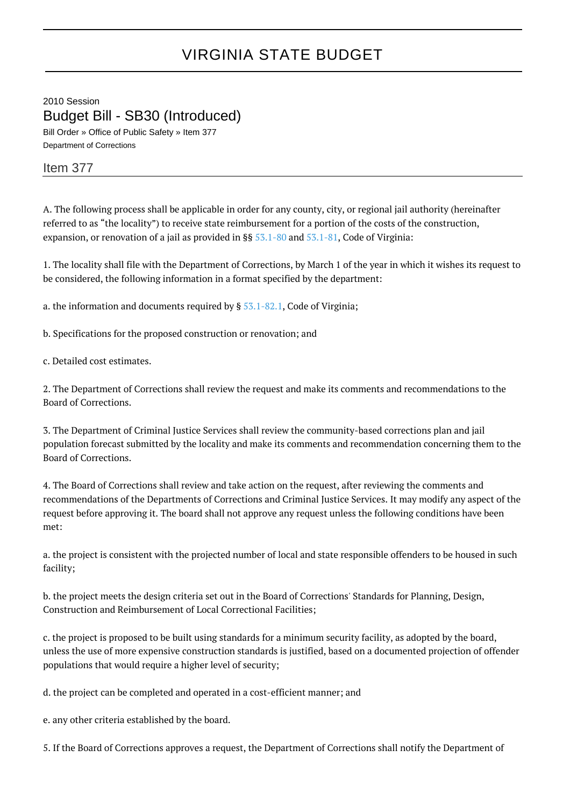## VIRGINIA STATE BUDGET

2010 Session Budget Bill - SB30 (Introduced)

Bill Order » Office of Public Safety » Item 377 Department of Corrections

## Item 377

A. The following process shall be applicable in order for any county, city, or regional jail authority (hereinafter referred to as "the locality") to receive state reimbursement for a portion of the costs of the construction, expansion, or renovation of a jail as provided in §§ [53.1-80](http://law.lis.virginia.gov/vacode/53.1-80/) and [53.1-81,](http://law.lis.virginia.gov/vacode/53.1-81/) Code of Virginia:

1. The locality shall file with the Department of Corrections, by March 1 of the year in which it wishes its request to be considered, the following information in a format specified by the department:

a. the information and documents required by  $\S 53.1-82.1$ , Code of Virginia;

b. Specifications for the proposed construction or renovation; and

c. Detailed cost estimates.

2. The Department of Corrections shall review the request and make its comments and recommendations to the Board of Corrections.

3. The Department of Criminal Justice Services shall review the community-based corrections plan and jail population forecast submitted by the locality and make its comments and recommendation concerning them to the Board of Corrections.

4. The Board of Corrections shall review and take action on the request, after reviewing the comments and recommendations of the Departments of Corrections and Criminal Justice Services. It may modify any aspect of the request before approving it. The board shall not approve any request unless the following conditions have been met:

a. the project is consistent with the projected number of local and state responsible offenders to be housed in such facility;

b. the project meets the design criteria set out in the Board of Corrections' Standards for Planning, Design, Construction and Reimbursement of Local Correctional Facilities;

c. the project is proposed to be built using standards for a minimum security facility, as adopted by the board, unless the use of more expensive construction standards is justified, based on a documented projection of offender populations that would require a higher level of security;

d. the project can be completed and operated in a cost-efficient manner; and

e. any other criteria established by the board.

5. If the Board of Corrections approves a request, the Department of Corrections shall notify the Department of